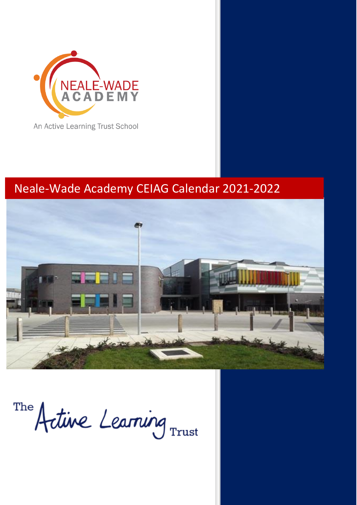

An Active Learning Trust School

## Neale-Wade Academy CEIAG Calendar 2021-2022



The Artive Learning Trust